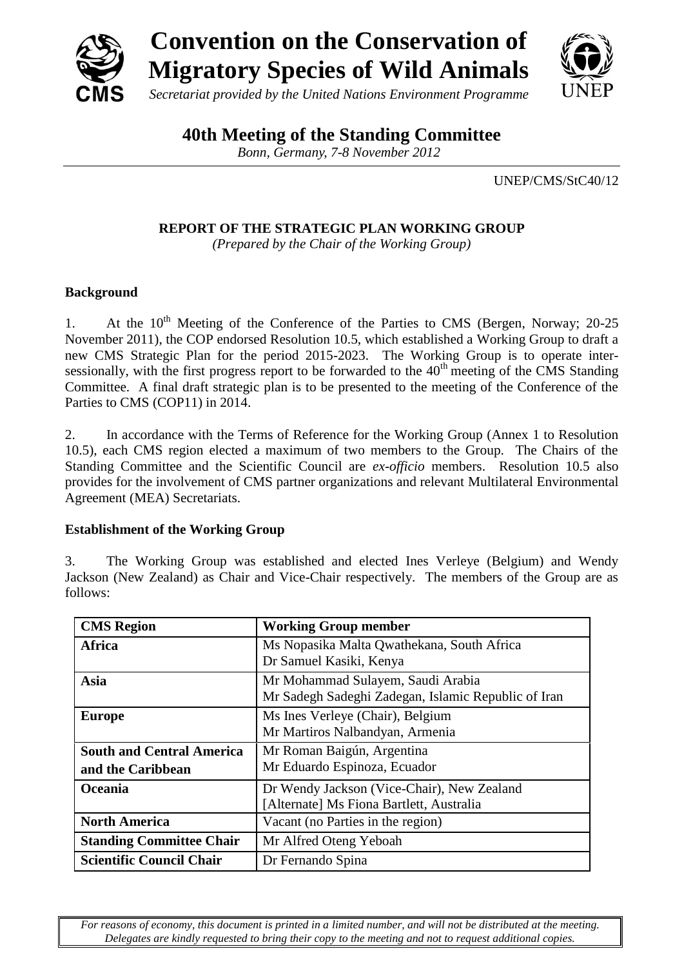

**40th Meeting of the Standing Committee**

*Bonn, Germany, 7-8 November 2012*

UNEP/CMS/StC40/12

**REPORT OF THE STRATEGIC PLAN WORKING GROUP**

*(Prepared by the Chair of the Working Group)*

## **Background**

1. At the  $10^{th}$  Meeting of the Conference of the Parties to CMS (Bergen, Norway; 20-25) November 2011), the COP endorsed Resolution 10.5, which established a Working Group to draft a new CMS Strategic Plan for the period 2015-2023. The Working Group is to operate intersessionally, with the first progress report to be forwarded to the  $40<sup>th</sup>$  meeting of the CMS Standing Committee. A final draft strategic plan is to be presented to the meeting of the Conference of the Parties to CMS (COP11) in 2014.

2. In accordance with the Terms of Reference for the Working Group (Annex 1 to Resolution 10.5), each CMS region elected a maximum of two members to the Group. The Chairs of the Standing Committee and the Scientific Council are *ex-officio* members. Resolution 10.5 also provides for the involvement of CMS partner organizations and relevant Multilateral Environmental Agreement (MEA) Secretariats.

## **Establishment of the Working Group**

3. The Working Group was established and elected Ines Verleye (Belgium) and Wendy Jackson (New Zealand) as Chair and Vice-Chair respectively. The members of the Group are as follows:

| <b>CMS</b> Region                                     | <b>Working Group member</b>                                                              |
|-------------------------------------------------------|------------------------------------------------------------------------------------------|
| Africa                                                | Ms Nopasika Malta Qwathekana, South Africa<br>Dr Samuel Kasiki, Kenya                    |
| Asia                                                  | Mr Mohammad Sulayem, Saudi Arabia<br>Mr Sadegh Sadeghi Zadegan, Islamic Republic of Iran |
| <b>Europe</b>                                         | Ms Ines Verleye (Chair), Belgium<br>Mr Martiros Nalbandyan, Armenia                      |
| <b>South and Central America</b><br>and the Caribbean | Mr Roman Baigún, Argentina<br>Mr Eduardo Espinoza, Ecuador                               |
| Oceania                                               | Dr Wendy Jackson (Vice-Chair), New Zealand<br>[Alternate] Ms Fiona Bartlett, Australia   |
| <b>North America</b>                                  | Vacant (no Parties in the region)                                                        |
| <b>Standing Committee Chair</b>                       | Mr Alfred Oteng Yeboah                                                                   |
| <b>Scientific Council Chair</b>                       | Dr Fernando Spina                                                                        |

*For reasons of economy, this document is printed in a limited number, and will not be distributed at the meeting. Delegates are kindly requested to bring their copy to the meeting and not to request additional copies.*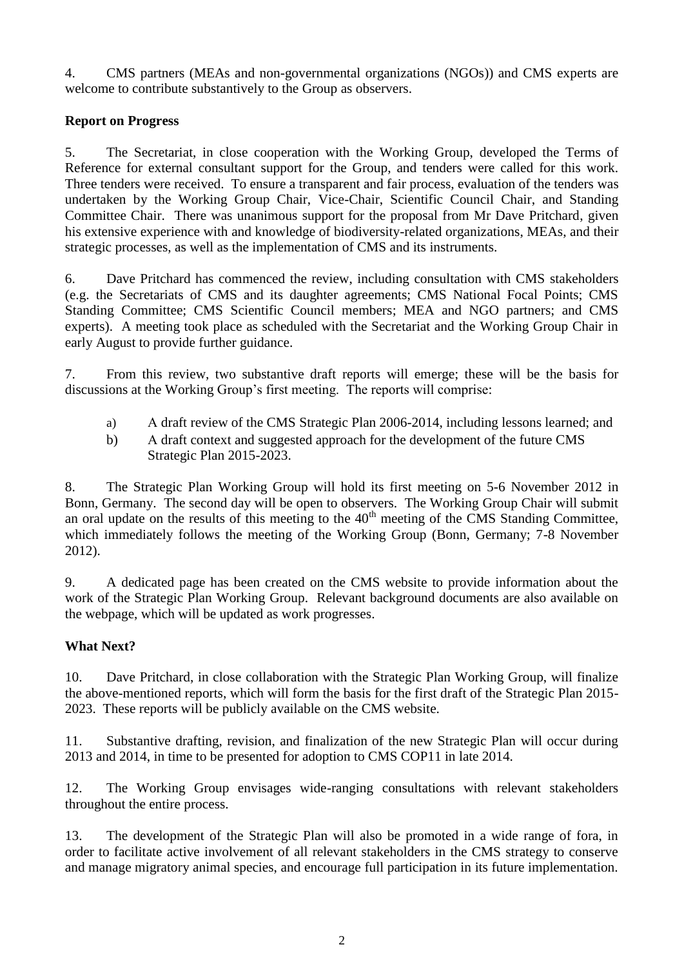4. CMS partners (MEAs and non-governmental organizations (NGOs)) and CMS experts are welcome to contribute substantively to the Group as observers.

## **Report on Progress**

5. The Secretariat, in close cooperation with the Working Group, developed the Terms of Reference for external consultant support for the Group, and tenders were called for this work. Three tenders were received. To ensure a transparent and fair process, evaluation of the tenders was undertaken by the Working Group Chair, Vice-Chair, Scientific Council Chair, and Standing Committee Chair. There was unanimous support for the proposal from Mr Dave Pritchard, given his extensive experience with and knowledge of biodiversity-related organizations, MEAs, and their strategic processes, as well as the implementation of CMS and its instruments.

6. Dave Pritchard has commenced the review, including consultation with CMS stakeholders (e.g. the Secretariats of CMS and its daughter agreements; CMS National Focal Points; CMS Standing Committee; CMS Scientific Council members; MEA and NGO partners; and CMS experts). A meeting took place as scheduled with the Secretariat and the Working Group Chair in early August to provide further guidance.

7. From this review, two substantive draft reports will emerge; these will be the basis for discussions at the Working Group's first meeting. The reports will comprise:

- a) A draft review of the CMS Strategic Plan 2006-2014, including lessons learned; and
- b) A draft context and suggested approach for the development of the future CMS Strategic Plan 2015-2023.

8. The Strategic Plan Working Group will hold its first meeting on 5-6 November 2012 in Bonn, Germany. The second day will be open to observers. The Working Group Chair will submit an oral update on the results of this meeting to the  $40<sup>th</sup>$  meeting of the CMS Standing Committee, which immediately follows the meeting of the Working Group (Bonn, Germany; 7-8 November 2012).

9. A dedicated page has been created on the CMS website to provide information about the work of the Strategic Plan Working Group. Relevant background documents are also available on the webpage, which will be updated as work progresses.

## **What Next?**

10. Dave Pritchard, in close collaboration with the Strategic Plan Working Group, will finalize the above-mentioned reports, which will form the basis for the first draft of the Strategic Plan 2015- 2023. These reports will be publicly available on the CMS website.

11. Substantive drafting, revision, and finalization of the new Strategic Plan will occur during 2013 and 2014, in time to be presented for adoption to CMS COP11 in late 2014.

12. The Working Group envisages wide-ranging consultations with relevant stakeholders throughout the entire process.

13. The development of the Strategic Plan will also be promoted in a wide range of fora, in order to facilitate active involvement of all relevant stakeholders in the CMS strategy to conserve and manage migratory animal species, and encourage full participation in its future implementation.